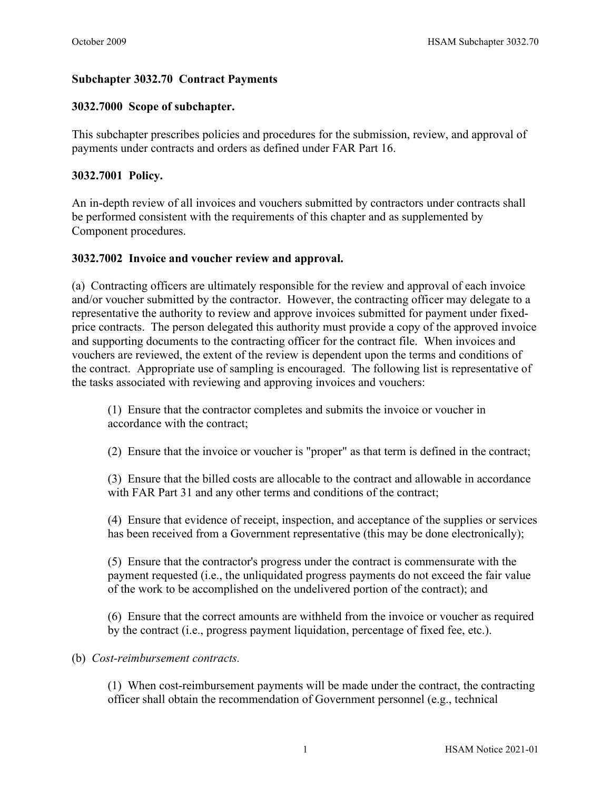# **Subchapter 3032.70 Contract Payments**

## **3032.7000 Scope of subchapter.**

This subchapter prescribes policies and procedures for the submission, review, and approval of payments under contracts and orders as defined under FAR Part 16.

## **3032.7001 Policy.**

An in-depth review of all invoices and vouchers submitted by contractors under contracts shall be performed consistent with the requirements of this chapter and as supplemented by Component procedures.

### **3032.7002 Invoice and voucher review and approval.**

(a) Contracting officers are ultimately responsible for the review and approval of each invoice and/or voucher submitted by the contractor. However, the contracting officer may delegate to a representative the authority to review and approve invoices submitted for payment under fixedprice contracts. The person delegated this authority must provide a copy of the approved invoice and supporting documents to the contracting officer for the contract file. When invoices and vouchers are reviewed, the extent of the review is dependent upon the terms and conditions of the contract. Appropriate use of sampling is encouraged. The following list is representative of the tasks associated with reviewing and approving invoices and vouchers:

(1) Ensure that the contractor completes and submits the invoice or voucher in accordance with the contract;

(2) Ensure that the invoice or voucher is "proper" as that term is defined in the contract;

(3) Ensure that the billed costs are allocable to the contract and allowable in accordance with FAR Part 31 and any other terms and conditions of the contract;

(4) Ensure that evidence of receipt, inspection, and acceptance of the supplies or services has been received from a Government representative (this may be done electronically);

(5) Ensure that the contractor's progress under the contract is commensurate with the payment requested (i.e., the unliquidated progress payments do not exceed the fair value of the work to be accomplished on the undelivered portion of the contract); and

(6) Ensure that the correct amounts are withheld from the invoice or voucher as required by the contract (i.e., progress payment liquidation, percentage of fixed fee, etc.).

#### (b) *Cost-reimbursement contracts.*

(1) When cost-reimbursement payments will be made under the contract, the contracting officer shall obtain the recommendation of Government personnel (e.g., technical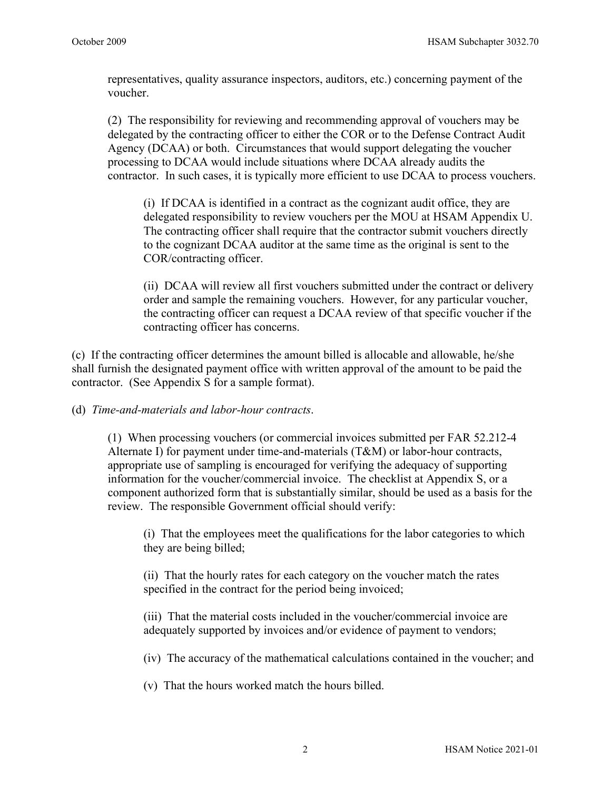representatives, quality assurance inspectors, auditors, etc.) concerning payment of the voucher.

(2) The responsibility for reviewing and recommending approval of vouchers may be delegated by the contracting officer to either the COR or to the Defense Contract Audit Agency (DCAA) or both. Circumstances that would support delegating the voucher processing to DCAA would include situations where DCAA already audits the contractor. In such cases, it is typically more efficient to use DCAA to process vouchers.

(i) If DCAA is identified in a contract as the cognizant audit office, they are delegated responsibility to review vouchers per the MOU at HSAM Appendix U. The contracting officer shall require that the contractor submit vouchers directly to the cognizant DCAA auditor at the same time as the original is sent to the COR/contracting officer.

(ii) DCAA will review all first vouchers submitted under the contract or delivery order and sample the remaining vouchers. However, for any particular voucher, the contracting officer can request a DCAA review of that specific voucher if the contracting officer has concerns.

(c) If the contracting officer determines the amount billed is allocable and allowable, he/she shall furnish the designated payment office with written approval of the amount to be paid the contractor. (See Appendix S for a sample format).

(d) *Time-and-materials and labor-hour contracts*.

(1) When processing vouchers (or commercial invoices submitted per FAR 52.212-4 Alternate I) for payment under time-and-materials (T&M) or labor-hour contracts, appropriate use of sampling is encouraged for verifying the adequacy of supporting information for the voucher/commercial invoice. The checklist at Appendix S, or a component authorized form that is substantially similar, should be used as a basis for the review. The responsible Government official should verify:

(i) That the employees meet the qualifications for the labor categories to which they are being billed;

(ii) That the hourly rates for each category on the voucher match the rates specified in the contract for the period being invoiced;

(iii) That the material costs included in the voucher/commercial invoice are adequately supported by invoices and/or evidence of payment to vendors;

(iv) The accuracy of the mathematical calculations contained in the voucher; and

(v) That the hours worked match the hours billed.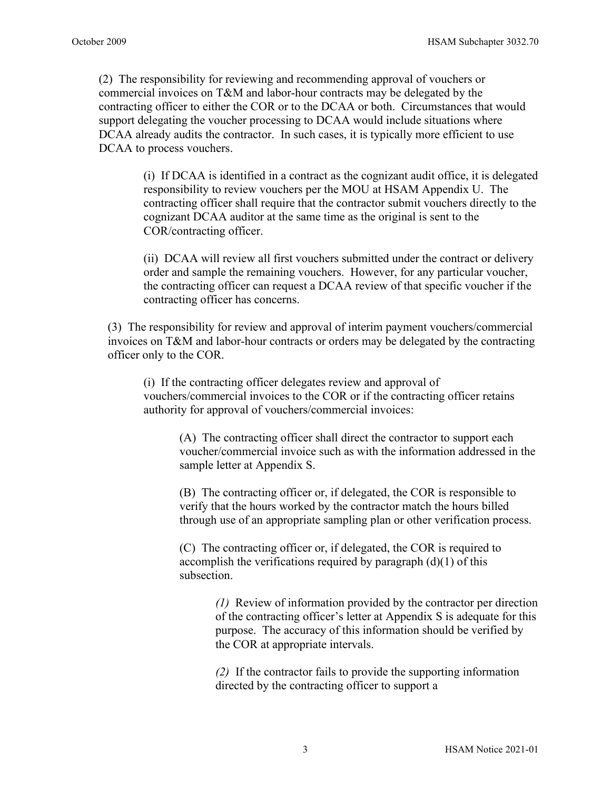(2) The responsibility for reviewing and recommending approval of vouchers or commercial invoices on T&M and labor-hour contracts may be delegated by the contracting officer to either the COR or to the DCAA or both. Circumstances that would support delegating the voucher processing to DCAA would include situations where DCAA already audits the contractor. In such cases, it is typically more efficient to use DCAA to process vouchers.

> (i) If DCAA is identified in a contract as the cognizant audit office, it is delegated responsibility to review vouchers per the MOU at HSAM Appendix U. The contracting officer shall require that the contractor submit vouchers directly to the cognizant DCAA auditor at the same time as the original is sent to the COR/contracting officer.

(ii) DCAA will review all first vouchers submitted under the contract or delivery order and sample the remaining vouchers. However, for any particular voucher, the contracting officer can request a DCAA review of that specific voucher if the contracting officer has concerns.

(3) The responsibility for review and approval of interim payment vouchers/commercial invoices on T&M and labor-hour contracts or orders may be delegated by the contracting officer only to the COR.

(i) If the contracting officer delegates review and approval of vouchers/commercial invoices to the COR or if the contracting officer retains authority for approval of vouchers/commercial invoices:

(A) The contracting officer shall direct the contractor to support each voucher/commercial invoice such as with the information addressed in the sample letter at Appendix S.

(B) The contracting officer or, if delegated, the COR is responsible to verify that the hours worked by the contractor match the hours billed through use of an appropriate sampling plan or other verification process.

(C) The contracting officer or, if delegated, the COR is required to accomplish the verifications required by paragraph  $(d)(1)$  of this subsection.

> *(1)* Review of information provided by the contractor per direction of the contracting officer's letter at Appendix S is adequate for this purpose. The accuracy of this information should be verified by the COR at appropriate intervals.

*(2)* If the contractor fails to provide the supporting information directed by the contracting officer to support a